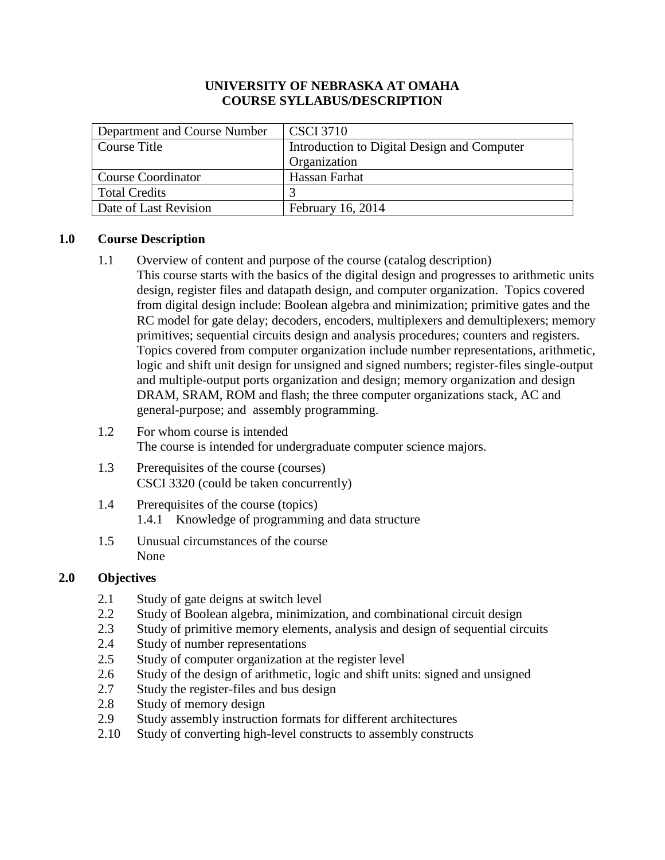## **UNIVERSITY OF NEBRASKA AT OMAHA COURSE SYLLABUS/DESCRIPTION**

| Department and Course Number | $\vert$ CSCI 3710                           |  |
|------------------------------|---------------------------------------------|--|
| Course Title                 | Introduction to Digital Design and Computer |  |
|                              | Organization                                |  |
| <b>Course Coordinator</b>    | Hassan Farhat                               |  |
| <b>Total Credits</b>         |                                             |  |
| Date of Last Revision        | February 16, 2014                           |  |

## **1.0 Course Description**

- 1.1 Overview of content and purpose of the course (catalog description) This course starts with the basics of the digital design and progresses to arithmetic units design, register files and datapath design, and computer organization. Topics covered from digital design include: Boolean algebra and minimization; primitive gates and the RC model for gate delay; decoders, encoders, multiplexers and demultiplexers; memory primitives; sequential circuits design and analysis procedures; counters and registers. Topics covered from computer organization include number representations, arithmetic, logic and shift unit design for unsigned and signed numbers; register-files single-output and multiple-output ports organization and design; memory organization and design DRAM, SRAM, ROM and flash; the three computer organizations stack, AC and general-purpose; and assembly programming.
- 1.2 For whom course is intended The course is intended for undergraduate computer science majors.
- 1.3 Prerequisites of the course (courses) CSCI 3320 (could be taken concurrently)
- 1.4 Prerequisites of the course (topics) 1.4.1 Knowledge of programming and data structure
- 1.5 Unusual circumstances of the course None

## **2.0 Objectives**

- 2.1 Study of gate deigns at switch level
- 2.2 Study of Boolean algebra, minimization, and combinational circuit design
- 2.3 Study of primitive memory elements, analysis and design of sequential circuits
- 2.4 Study of number representations
- 2.5 Study of computer organization at the register level
- 2.6 Study of the design of arithmetic, logic and shift units: signed and unsigned
- 2.7 Study the register-files and bus design
- 2.8 Study of memory design
- 2.9 Study assembly instruction formats for different architectures
- 2.10 Study of converting high-level constructs to assembly constructs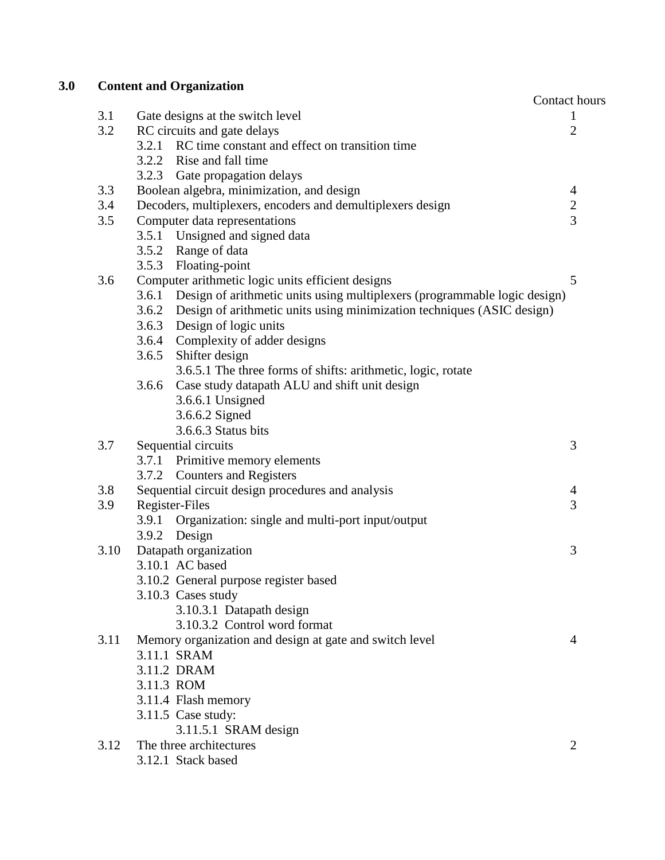# **3.0 Content and Organization**

|      | Coment and Organization                                                         | Contact hours       |
|------|---------------------------------------------------------------------------------|---------------------|
| 3.1  | Gate designs at the switch level                                                | 1                   |
| 3.2  | RC circuits and gate delays                                                     | $\overline{2}$      |
|      | 3.2.1 RC time constant and effect on transition time                            |                     |
|      | 3.2.2 Rise and fall time                                                        |                     |
|      | 3.2.3 Gate propagation delays                                                   |                     |
| 3.3  | Boolean algebra, minimization, and design                                       | $\overline{4}$      |
| 3.4  | Decoders, multiplexers, encoders and demultiplexers design                      | $\frac{2}{3}$       |
| 3.5  | Computer data representations                                                   |                     |
|      | 3.5.1 Unsigned and signed data                                                  |                     |
|      | Range of data<br>3.5.2                                                          |                     |
|      | Floating-point<br>3.5.3                                                         |                     |
| 3.6  | Computer arithmetic logic units efficient designs                               | 5                   |
|      | 3.6.1 Design of arithmetic units using multiplexers (programmable logic design) |                     |
|      | 3.6.2 Design of arithmetic units using minimization techniques (ASIC design)    |                     |
|      | Design of logic units<br>3.6.3                                                  |                     |
|      | Complexity of adder designs<br>3.6.4                                            |                     |
|      | Shifter design<br>3.6.5                                                         |                     |
|      | 3.6.5.1 The three forms of shifts: arithmetic, logic, rotate                    |                     |
|      | 3.6.6<br>Case study datapath ALU and shift unit design                          |                     |
|      | 3.6.6.1 Unsigned                                                                |                     |
|      | 3.6.6.2 Signed                                                                  |                     |
|      | 3.6.6.3 Status bits                                                             |                     |
| 3.7  | Sequential circuits                                                             | 3                   |
|      | 3.7.1 Primitive memory elements                                                 |                     |
| 3.8  | 3.7.2 Counters and Registers                                                    |                     |
| 3.9  | Sequential circuit design procedures and analysis<br>Register-Files             | $\overline{4}$<br>3 |
|      | Organization: single and multi-port input/output<br>3.9.1                       |                     |
|      | 3.9.2 Design                                                                    |                     |
| 3.10 | Datapath organization                                                           | 3                   |
|      | 3.10.1 AC based                                                                 |                     |
|      | 3.10.2 General purpose register based                                           |                     |
|      | 3.10.3 Cases study                                                              |                     |
|      | 3.10.3.1 Datapath design                                                        |                     |
|      | 3.10.3.2 Control word format                                                    |                     |
| 3.11 | Memory organization and design at gate and switch level                         | $\overline{4}$      |
|      | 3.11.1 SRAM                                                                     |                     |
|      | 3.11.2 DRAM                                                                     |                     |
|      | 3.11.3 ROM                                                                      |                     |
|      | 3.11.4 Flash memory                                                             |                     |
|      | 3.11.5 Case study:                                                              |                     |
|      | 3.11.5.1 SRAM design                                                            |                     |
| 3.12 | The three architectures                                                         | $\overline{2}$      |
|      | 3.12.1 Stack based                                                              |                     |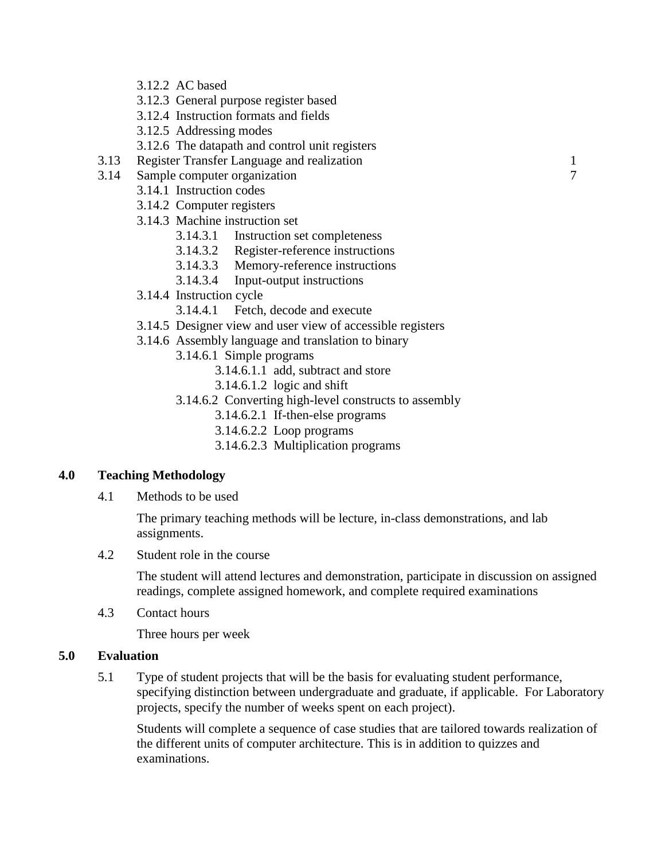- 3.12.2 AC based
- 3.12.3 General purpose register based
- 3.12.4 Instruction formats and fields
- 3.12.5 Addressing modes
- 3.12.6 The datapath and control unit registers
- 3.13 Register Transfer Language and realization 1
- 3.14 Sample computer organization 7
	- 3.14.1 Instruction codes
		- 3.14.2 Computer registers
		- 3.14.3 Machine instruction set
			- 3.14.3.1 Instruction set completeness
			- 3.14.3.2 Register-reference instructions
			- 3.14.3.3 Memory-reference instructions
			- 3.14.3.4 Input-output instructions
		- 3.14.4 Instruction cycle
			- 3.14.4.1 Fetch, decode and execute
		- 3.14.5 Designer view and user view of accessible registers
		- 3.14.6 Assembly language and translation to binary
			- 3.14.6.1 Simple programs
				- 3.14.6.1.1 add, subtract and store
				- 3.14.6.1.2 logic and shift
			- 3.14.6.2 Converting high-level constructs to assembly
				- 3.14.6.2.1 If-then-else programs
				- 3.14.6.2.2 Loop programs
				- 3.14.6.2.3 Multiplication programs

## **4.0 Teaching Methodology**

4.1 Methods to be used

The primary teaching methods will be lecture, in-class demonstrations, and lab assignments.

4.2 Student role in the course

The student will attend lectures and demonstration, participate in discussion on assigned readings, complete assigned homework, and complete required examinations

4.3 Contact hours

Three hours per week

#### **5.0 Evaluation**

5.1 Type of student projects that will be the basis for evaluating student performance, specifying distinction between undergraduate and graduate, if applicable. For Laboratory projects, specify the number of weeks spent on each project).

Students will complete a sequence of case studies that are tailored towards realization of the different units of computer architecture. This is in addition to quizzes and examinations.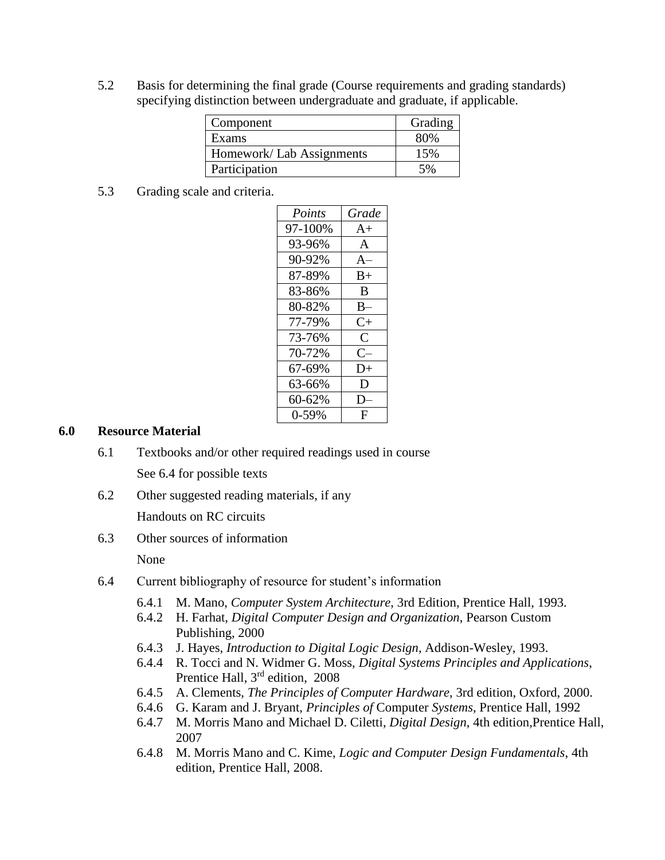5.2 Basis for determining the final grade (Course requirements and grading standards) specifying distinction between undergraduate and graduate, if applicable.

| Component                 | Grading |
|---------------------------|---------|
| Exams                     | 80%     |
| Homework/ Lab Assignments | 15%     |
| Participation             | 5%      |

5.3 Grading scale and criteria.

| Points  | Grade        |
|---------|--------------|
| 97-100% | $A+$         |
| 93-96%  | $\mathsf{A}$ |
| 90-92%  | $A-$         |
| 87-89%  | $_{\rm B+}$  |
| 83-86%  | B            |
| 80-82%  | $B-$         |
| 77-79%  | $C_{\pm}$    |
| 73-76%  | C            |
| 70-72%  | $C-$         |
| 67-69%  | D+           |
| 63-66%  | D            |
| 60-62%  | D            |
| 0-59%   | F            |
|         |              |

#### **6.0 Resource Material**

- 6.1 Textbooks and/or other required readings used in course See 6.4 for possible texts
- 6.2 Other suggested reading materials, if any

Handouts on RC circuits

6.3 Other sources of information

None

- 6.4 Current bibliography of resource for student's information
	- 6.4.1 M. Mano, *Computer System Architecture*, 3rd Edition*,* Prentice Hall, 1993.
	- 6.4.2 H. Farhat, *Digital Computer Design and Organization*, Pearson Custom Publishing, 2000
	- 6.4.3 J. Hayes, *Introduction to Digital Logic Design*, Addison-Wesley, 1993.
	- 6.4.4 R. Tocci and N. Widmer G. Moss, *Digital Systems Principles and Applications*, Prentice Hall, 3<sup>rd</sup> edition, 2008
	- 6.4.5 A. Clements, *The Principles of Computer Hardware*, 3rd edition, Oxford, 2000.
	- 6.4.6 G. Karam and J. Bryant, *Principles of* Computer *Systems*, Prentice Hall, 1992
	- 6.4.7 M. Morris Mano and Michael D. Ciletti, *Digital Design*, 4th edition,Prentice Hall, 2007
	- 6.4.8 M. Morris Mano and C. Kime, *Logic and Computer Design Fundamentals*, 4th edition, Prentice Hall, 2008.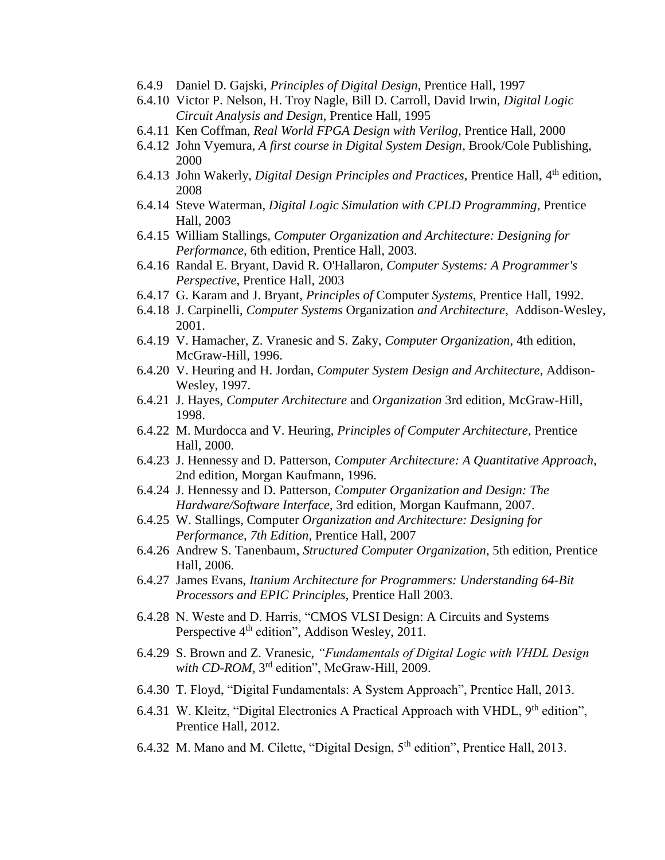- 6.4.9 Daniel D. Gajski, *Principles of Digital Design*, Prentice Hall, 1997
- 6.4.10 Victor P. Nelson, H. Troy Nagle, Bill D. Carroll, David Irwin, *Digital Logic Circuit Analysis and Design*, Prentice Hall, 1995
- 6.4.11 Ken Coffman, *Real World FPGA Design with Verilog*, Prentice Hall, 2000
- 6.4.12 John Vyemura, *A first course in Digital System Design*, Brook/Cole Publishing, 2000
- 6.4.13 John Wakerly, *Digital Design Principles and Practices*, Prentice Hall, 4<sup>th</sup> edition, 2008
- 6.4.14 Steve Waterman, *Digital Logic Simulation with CPLD Programming*, Prentice Hall, 2003
- 6.4.15 William Stallings, *Computer Organization and Architecture: Designing for Performance,* 6th edition, Prentice Hall, 2003.
- 6.4.16 Randal E. Bryant, David R. O'Hallaron, *Computer Systems: A Programmer's Perspective*, Prentice Hall, 2003
- 6.4.17 G. Karam and J. Bryant, *Principles of* Computer *Systems*, Prentice Hall, 1992.
- 6.4.18 J. Carpinelli, *Computer Systems* Organization *and Architecture*, Addison-Wesley, 2001.
- 6.4.19 V. Hamacher, Z. Vranesic and S. Zaky, *Computer Organization*, 4th edition, McGraw-Hill, 1996.
- 6.4.20 V. Heuring and H. Jordan, *Computer System Design and Architecture*, Addison-Wesley, 1997.
- 6.4.21 J. Hayes, *Computer Architecture* and *Organization* 3rd edition, McGraw-Hill, 1998.
- 6.4.22 M. Murdocca and V. Heuring, *Principles of Computer Architecture*, Prentice Hall, 2000.
- 6.4.23 J. Hennessy and D. Patterson, *Computer Architecture: A Quantitative Approach*, 2nd edition, Morgan Kaufmann, 1996.
- 6.4.24 J. Hennessy and D. Patterson, *Computer Organization and Design: The Hardware/Software Interface*, 3rd edition, Morgan Kaufmann, 2007.
- 6.4.25 W. Stallings, Computer *Organization and Architecture: Designing for Performance, 7th Edition*, Prentice Hall, 2007
- 6.4.26 Andrew S. Tanenbaum, *Structured Computer Organization*, 5th edition, Prentice Hall, 2006.
- 6.4.27 James Evans, *Itanium Architecture for Programmers: Understanding 64-Bit Processors and EPIC Principles*, Prentice Hall 2003.
- 6.4.28 N. Weste and D. Harris, "CMOS VLSI Design: A Circuits and Systems Perspective 4<sup>th</sup> edition", Addison Wesley, 2011.
- 6.4.29 S. Brown and Z. Vranesic, *"Fundamentals of Digital Logic with VHDL Design*  with CD-ROM, 3<sup>rd</sup> edition", McGraw-Hill, 2009.
- 6.4.30 T. Floyd, "Digital Fundamentals: A System Approach", Prentice Hall, 2013.
- 6.4.31 W. Kleitz, "Digital Electronics A Practical Approach with VHDL, 9<sup>th</sup> edition", Prentice Hall, 2012.
- 6.4.32 M. Mano and M. Cilette, "Digital Design,  $5<sup>th</sup>$  edition", Prentice Hall, 2013.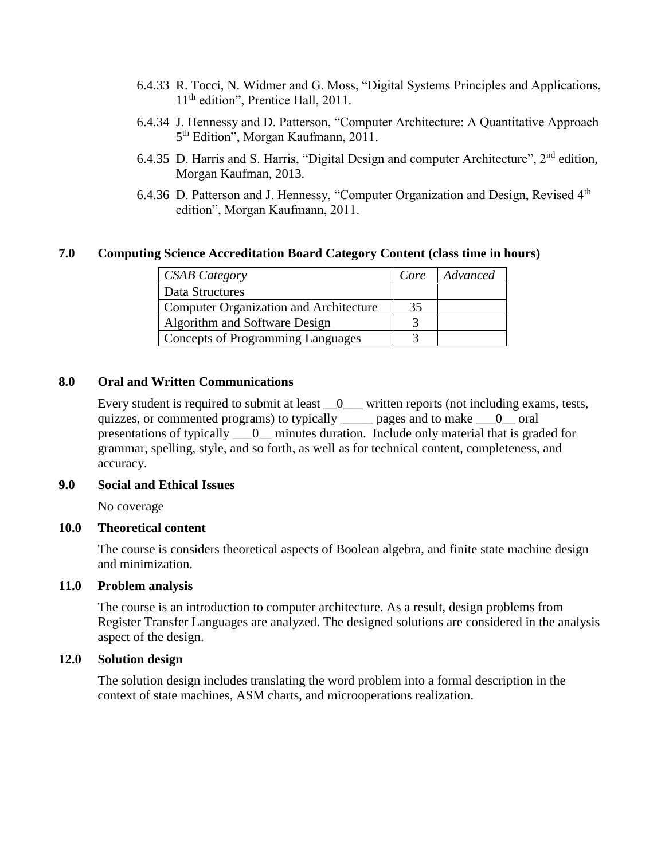- 6.4.33 R. Tocci, N. Widmer and G. Moss, "Digital Systems Principles and Applications, 11<sup>th</sup> edition", Prentice Hall, 2011.
- 6.4.34 J. Hennessy and D. Patterson, "Computer Architecture: A Quantitative Approach 5<sup>th</sup> Edition", Morgan Kaufmann, 2011.
- 6.4.35 D. Harris and S. Harris, "Digital Design and computer Architecture", 2nd edition, Morgan Kaufman, 2013.
- 6.4.36 D. Patterson and J. Hennessy, "Computer Organization and Design, Revised 4<sup>th</sup> edition", Morgan Kaufmann, 2011.

#### **7.0 Computing Science Accreditation Board Category Content (class time in hours)**

| <b>CSAB Category</b>                          | Core | Advanced |
|-----------------------------------------------|------|----------|
| Data Structures                               |      |          |
| <b>Computer Organization and Architecture</b> | 35   |          |
| Algorithm and Software Design                 |      |          |
| <b>Concepts of Programming Languages</b>      |      |          |

#### **8.0 Oral and Written Communications**

Every student is required to submit at least  $\_\_0$  written reports (not including exams, tests, quizzes, or commented programs) to typically \_\_\_\_\_ pages and to make \_\_\_0\_\_ oral presentations of typically \_\_\_0\_\_ minutes duration. Include only material that is graded for grammar, spelling, style, and so forth, as well as for technical content, completeness, and accuracy.

#### **9.0 Social and Ethical Issues**

No coverage

#### **10.0 Theoretical content**

The course is considers theoretical aspects of Boolean algebra, and finite state machine design and minimization.

#### **11.0 Problem analysis**

The course is an introduction to computer architecture. As a result, design problems from Register Transfer Languages are analyzed. The designed solutions are considered in the analysis aspect of the design.

#### **12.0 Solution design**

The solution design includes translating the word problem into a formal description in the context of state machines, ASM charts, and microoperations realization.